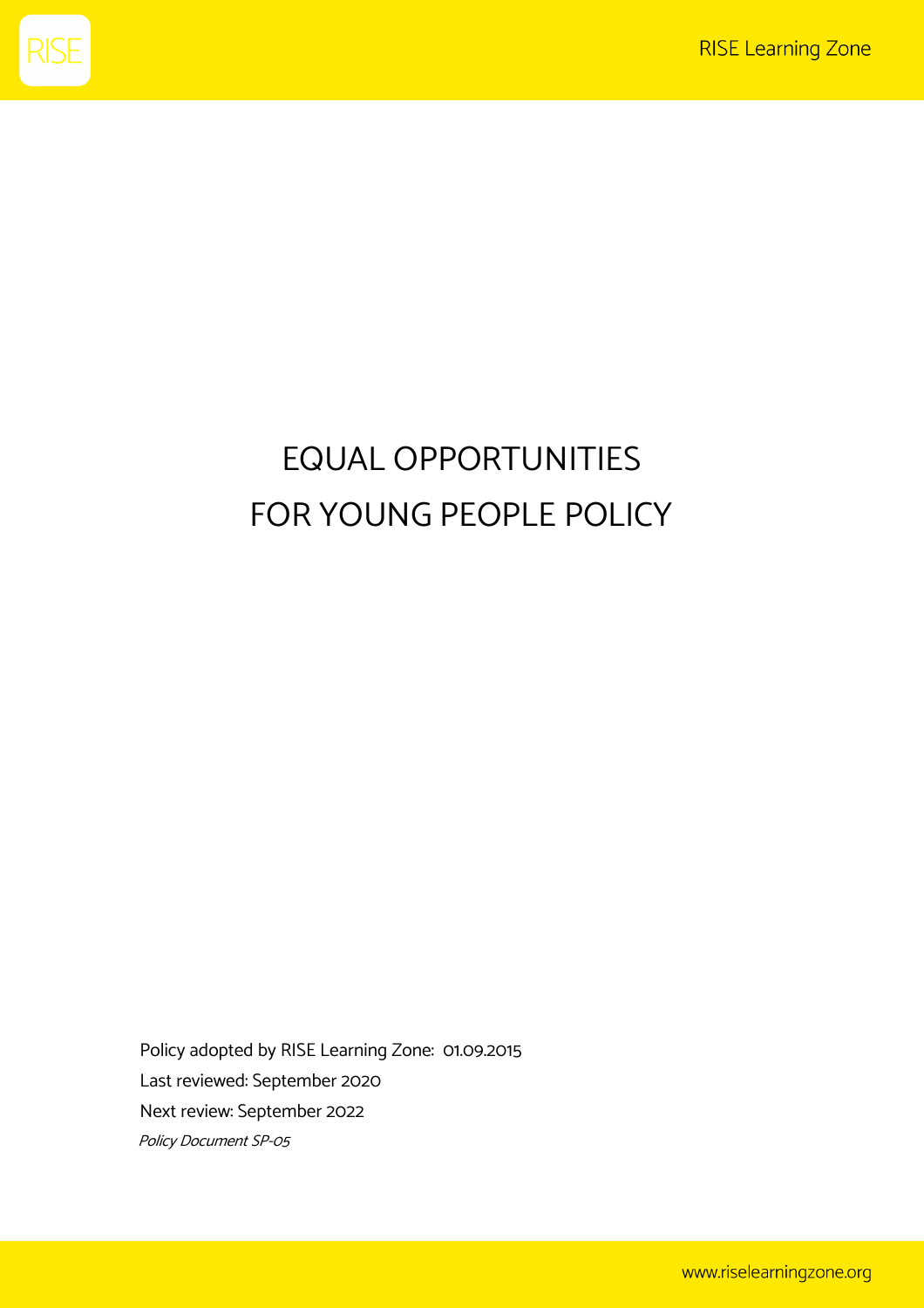

## EQUAL OPPORTUNITIES FOR YOUNG PEOPLE POLICY

Policy adopted by RISE Learning Zone: 01.09.2015 Last reviewed: September 2020 Next review: September 2022 Policy Document SP-05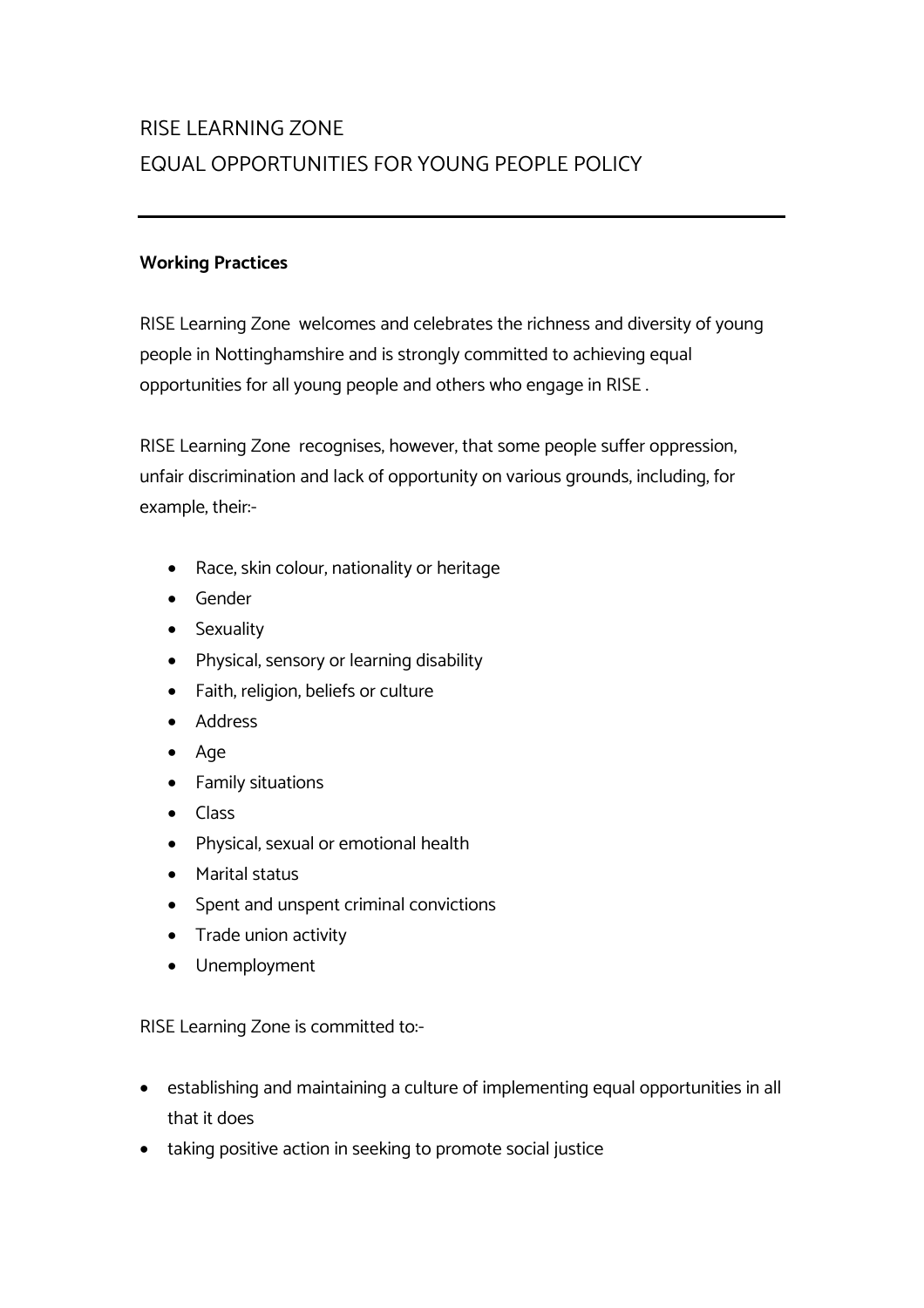## RISE LEARNING ZONE EQUAL OPPORTUNITIES FOR YOUNG PEOPLE POLICY

## **Working Practices**

RISE Learning Zone welcomes and celebrates the richness and diversity of young people in Nottinghamshire and is strongly committed to achieving equal opportunities for all young people and others who engage in RISE .

RISE Learning Zone recognises, however, that some people suffer oppression, unfair discrimination and lack of opportunity on various grounds, including, for example, their:-

- Race, skin colour, nationality or heritage
- Gender
- Sexuality
- Physical, sensory or learning disability
- Faith, religion, beliefs or culture
- Address
- Age
- Family situations
- Class
- Physical, sexual or emotional health
- Marital status
- Spent and unspent criminal convictions
- Trade union activity
- Unemployment

RISE Learning Zone is committed to:-

- establishing and maintaining a culture of implementing equal opportunities in all that it does
- taking positive action in seeking to promote social justice